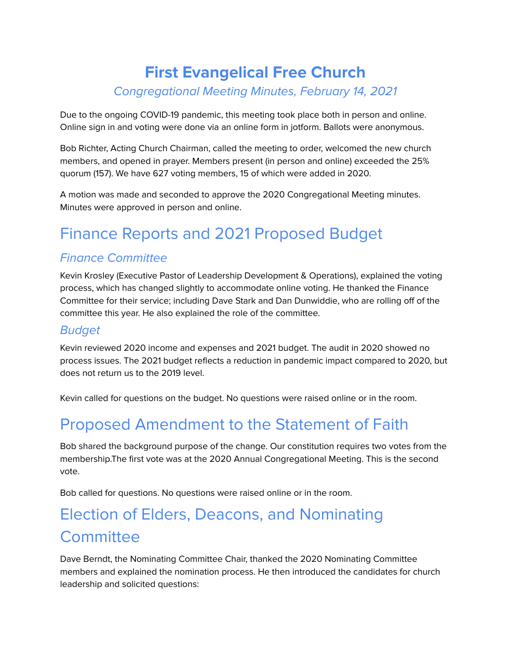## **First Evangelical Free Church** Congregational Meeting Minutes, February 14, 2021

Due to the ongoing COVID-19 pandemic, this meeting took place both in person and online. Online sign in and voting were done via an online form in jotform. Ballots were anonymous.

Bob Richter, Acting Church Chairman, called the meeting to order, welcomed the new church members, and opened in prayer. Members present (in person and online) exceeded the 25% quorum (157). We have 627 voting members, 15 of which were added in 2020.

A motion was made and seconded to approve the 2020 Congregational Meeting minutes. Minutes were approved in person and online.

# Finance Reports and 2021 Proposed Budget

#### Finance Committee

Kevin Krosley (Executive Pastor of Leadership Development & Operations), explained the voting process, which has changed slightly to accommodate online voting. He thanked the Finance Committee for their service; including Dave Stark and Dan Dunwiddie, who are rolling off of the committee this year. He also explained the role of the committee.

#### Budget

Kevin reviewed 2020 income and expenses and 2021 budget. The audit in 2020 showed no process issues. The 2021 budget reflects a reduction in pandemic impact compared to 2020, but does not return us to the 2019 level.

Kevin called for questions on the budget. No questions were raised online or in the room.

## Proposed Amendment to the Statement of Faith

Bob shared the background purpose of the change. Our constitution requires two votes from the membership.The first vote was at the 2020 Annual Congregational Meeting. This is the second vote.

Bob called for questions. No questions were raised online or in the room.

## Election of Elders, Deacons, and Nominating **Committee**

Dave Berndt, the Nominating Committee Chair, thanked the 2020 Nominating Committee members and explained the nomination process. He then introduced the candidates for church leadership and solicited questions: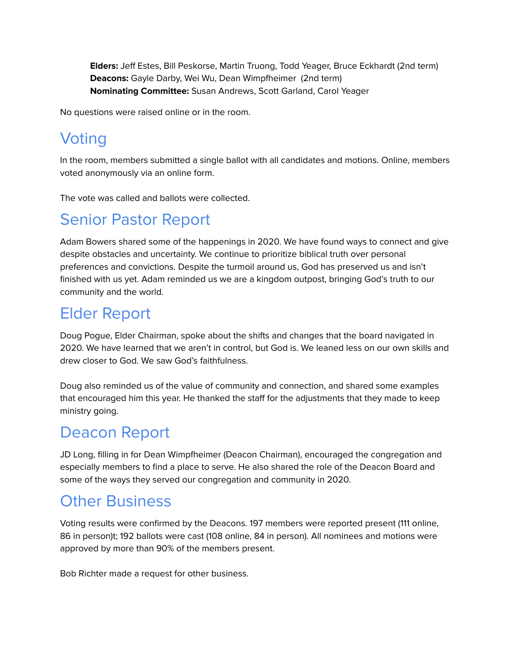**Elders:** Jeff Estes, Bill Peskorse, Martin Truong, Todd Yeager, Bruce Eckhardt (2nd term) **Deacons:** Gayle Darby, Wei Wu, Dean Wimpfheimer (2nd term) **Nominating Committee:** Susan Andrews, Scott Garland, Carol Yeager

No questions were raised online or in the room.

## **Voting**

In the room, members submitted a single ballot with all candidates and motions. Online, members voted anonymously via an online form.

The vote was called and ballots were collected.

## Senior Pastor Report

Adam Bowers shared some of the happenings in 2020. We have found ways to connect and give despite obstacles and uncertainty. We continue to prioritize biblical truth over personal preferences and convictions. Despite the turmoil around us, God has preserved us and isn't finished with us yet. Adam reminded us we are a kingdom outpost, bringing God's truth to our community and the world.

#### Elder Report

Doug Pogue, Elder Chairman, spoke about the shifts and changes that the board navigated in 2020. We have learned that we aren't in control, but God is. We leaned less on our own skills and drew closer to God. We saw God's faithfulness.

Doug also reminded us of the value of community and connection, and shared some examples that encouraged him this year. He thanked the staff for the adjustments that they made to keep ministry going.

## Deacon Report

JD Long, filling in for Dean Wimpfheimer (Deacon Chairman), encouraged the congregation and especially members to find a place to serve. He also shared the role of the Deacon Board and some of the ways they served our congregation and community in 2020.

## Other Business

Voting results were confirmed by the Deacons. 197 members were reported present (111 online, 86 in person)t; 192 ballots were cast (108 online, 84 in person). All nominees and motions were approved by more than 90% of the members present.

Bob Richter made a request for other business.